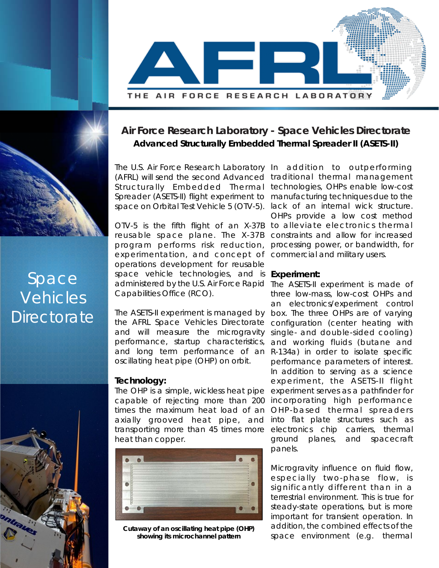

# **Air Force Research Laboratory - Space Vehicles Directorate Advanced Structurally Embedded Thermal Spreader II (ASETS-II)**

The U.S. Air Force Research Laboratory In addition to outperforming (AFRL) will send the second Advanced traditional thermal management Structurally Embedded Thermal technologies, OHPs enable low-cost Spreader (ASETS-II) flight experiment to space on Orbital Test Vehicle 5 (OTV-5). lack of an internal wick structure.

OTV-5 is the fifth flight of an X-37B to alleviate electronics thermal reusable space plane. The X-37B program performs risk reduction, experimentation, and concept of commercial and military users. operations development for reusable space vehicle technologies, and is administered by the U.S. Air Force Rapid The ASETS-II experiment is made of Capabilities Office (RCO).

The ASETS-II experiment is managed by box. The three OHPs are of varying the AFRL Space Vehicles Directorate and will measure the microgravity performance, startup characteristics, and long term performance of an oscillating heat pipe (OHP) on orbit.

## **Technology:**

The OHP is a simple, wickless heat pipe capable of rejecting more than 200 times the maximum heat load of an axially grooved heat pipe, and transporting more than 45 times more heat than copper.



**Cutaway of an oscillating heat pipe (OHP) showing its microchannel pattern**

manufacturing techniques due to the OHPs provide a low cost method constraints and allow for increased processing power, or bandwidth, for

#### **Experiment:**

three low-mass, low-cost OHPs and an electronics/experiment control configuration (center heating with single- and double-sided cooling) and working fluids (butane and R-134a) in order to isolate specific performance parameters of interest. In addition to serving as a science experiment, the ASETS-II flight experiment serves as a pathfinder for incorporating high performance OHP-based thermal spreaders into flat plate structures such as electronics chip carriers, thermal ground planes, and spacecraft panels.

Microgravity influence on fluid flow, especially two-phase flow, is significantly different than in a terrestrial environment. This is true for steady-state operations, but is more important for transient operation. In addition, the combined effects of the space environment (e.g. thermal

# Space Vehicles **Directorate**